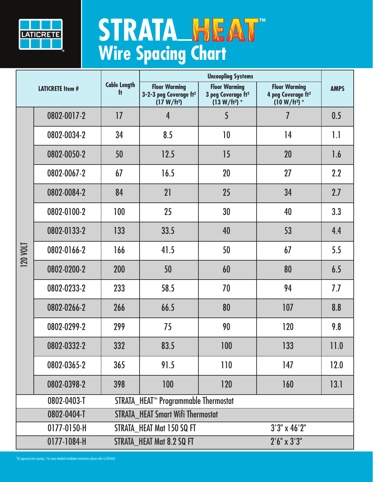

## **STRATA HEAT**

| <b>LATICRETE Item #</b>                                           |             | <b>Cable Length</b><br>f <sub>t</sub> | <b>Uncoupling Systems</b>                                                             |                                                                           |                                                                           |             |  |  |
|-------------------------------------------------------------------|-------------|---------------------------------------|---------------------------------------------------------------------------------------|---------------------------------------------------------------------------|---------------------------------------------------------------------------|-------------|--|--|
|                                                                   |             |                                       | <b>Floor Warming</b><br>3-2-3 peg Coverage ft <sup>2</sup><br>(17 W/ft <sup>2</sup> ) | <b>Floor Warming</b><br>3 peg Coverage ft <sup>2</sup><br>$(13 W/ft^2)$ * | <b>Floor Warming</b><br>4 peg Coverage ft <sup>2</sup><br>$(10 W/ft^2)$ * | <b>AMPS</b> |  |  |
| <b>120 VOLT</b>                                                   | 0802-0017-2 | 17                                    | 4                                                                                     | 5                                                                         | $\overline{I}$                                                            | 0.5         |  |  |
|                                                                   | 0802-0034-2 | 34                                    | 8.5                                                                                   | 10                                                                        | 14                                                                        | 1.1         |  |  |
|                                                                   | 0802-0050-2 | 50                                    | 12.5                                                                                  | 15                                                                        | 20                                                                        | 1.6         |  |  |
|                                                                   | 0802-0067-2 | 67                                    | 16.5                                                                                  | 20                                                                        | 27                                                                        | 2.2         |  |  |
|                                                                   | 0802-0084-2 | 84                                    | 21                                                                                    | 25                                                                        | 34                                                                        | 2.7         |  |  |
|                                                                   | 0802-0100-2 | 100                                   | 25                                                                                    | 30                                                                        | 40                                                                        | 3.3         |  |  |
|                                                                   | 0802-0133-2 | 133                                   | 33.5                                                                                  | 40                                                                        | 53                                                                        | 4.4         |  |  |
|                                                                   | 0802-0166-2 | 166                                   | 41.5                                                                                  | 50                                                                        | 67                                                                        | 5.5         |  |  |
|                                                                   | 0802-0200-2 | 200                                   | 50                                                                                    | 60                                                                        | 80                                                                        | 6.5         |  |  |
|                                                                   | 0802-0233-2 | 233                                   | 58.5                                                                                  | 70                                                                        | 94                                                                        | 7.7         |  |  |
|                                                                   | 0802-0266-2 | 266                                   | 66.5                                                                                  | 80                                                                        | 107                                                                       | 8.8         |  |  |
|                                                                   | 0802-0299-2 | 299                                   | 75                                                                                    | 90                                                                        | 120                                                                       | 9.8         |  |  |
|                                                                   | 0802-0332-2 | 332                                   | 83.5                                                                                  | 100                                                                       | 133                                                                       | 11.0        |  |  |
|                                                                   | 0802-0365-2 | 365                                   | 91.5                                                                                  | 110                                                                       | 147                                                                       | 12.0        |  |  |
|                                                                   | 0802-0398-2 | 398                                   | 100                                                                                   | 120                                                                       | 160                                                                       | 13.1        |  |  |
| STRATA_HEAT™ Programmable Thermostat<br>0802-0403-T               |             |                                       |                                                                                       |                                                                           |                                                                           |             |  |  |
| <b>STRATA_HEAT Smart Wifi Thermostat</b><br>0802-0404-T           |             |                                       |                                                                                       |                                                                           |                                                                           |             |  |  |
| $3'3'' \times 46'2''$<br>0177-0150-H<br>STRATA HEAT Mat 150 SQ FT |             |                                       |                                                                                       |                                                                           |                                                                           |             |  |  |
|                                                                   | 0177-1084-H |                                       | $2'6'' \times 3'3''$<br>STRATA HEAT Mat 8.2 SQ FT                                     |                                                                           |                                                                           |             |  |  |